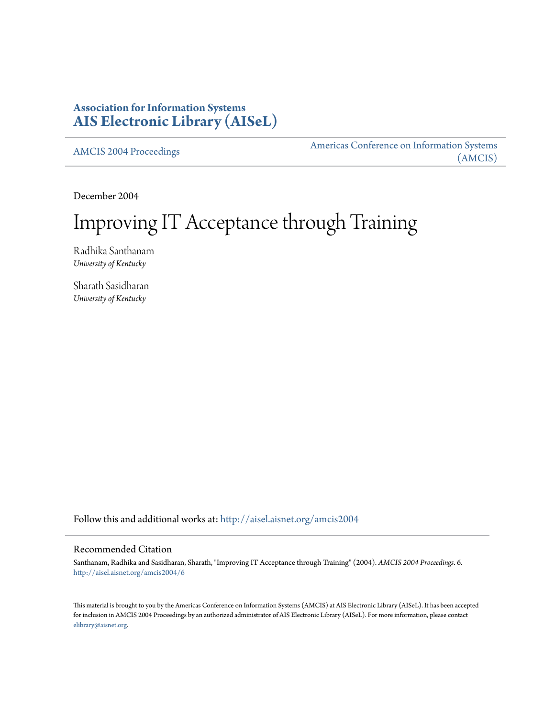### **Association for Information Systems [AIS Electronic Library \(AISeL\)](http://aisel.aisnet.org?utm_source=aisel.aisnet.org%2Famcis2004%2F6&utm_medium=PDF&utm_campaign=PDFCoverPages)**

[AMCIS 2004 Proceedings](http://aisel.aisnet.org/amcis2004?utm_source=aisel.aisnet.org%2Famcis2004%2F6&utm_medium=PDF&utm_campaign=PDFCoverPages)

[Americas Conference on Information Systems](http://aisel.aisnet.org/amcis?utm_source=aisel.aisnet.org%2Famcis2004%2F6&utm_medium=PDF&utm_campaign=PDFCoverPages) [\(AMCIS\)](http://aisel.aisnet.org/amcis?utm_source=aisel.aisnet.org%2Famcis2004%2F6&utm_medium=PDF&utm_campaign=PDFCoverPages)

December 2004

# Improving IT Acceptance through Training

Radhika Santhanam *University of Kentucky*

Sharath Sasidharan *University of Kentucky*

Follow this and additional works at: [http://aisel.aisnet.org/amcis2004](http://aisel.aisnet.org/amcis2004?utm_source=aisel.aisnet.org%2Famcis2004%2F6&utm_medium=PDF&utm_campaign=PDFCoverPages)

#### Recommended Citation

Santhanam, Radhika and Sasidharan, Sharath, "Improving IT Acceptance through Training" (2004). *AMCIS 2004 Proceedings*. 6. [http://aisel.aisnet.org/amcis2004/6](http://aisel.aisnet.org/amcis2004/6?utm_source=aisel.aisnet.org%2Famcis2004%2F6&utm_medium=PDF&utm_campaign=PDFCoverPages)

This material is brought to you by the Americas Conference on Information Systems (AMCIS) at AIS Electronic Library (AISeL). It has been accepted for inclusion in AMCIS 2004 Proceedings by an authorized administrator of AIS Electronic Library (AISeL). For more information, please contact [elibrary@aisnet.org.](mailto:elibrary@aisnet.org%3E)